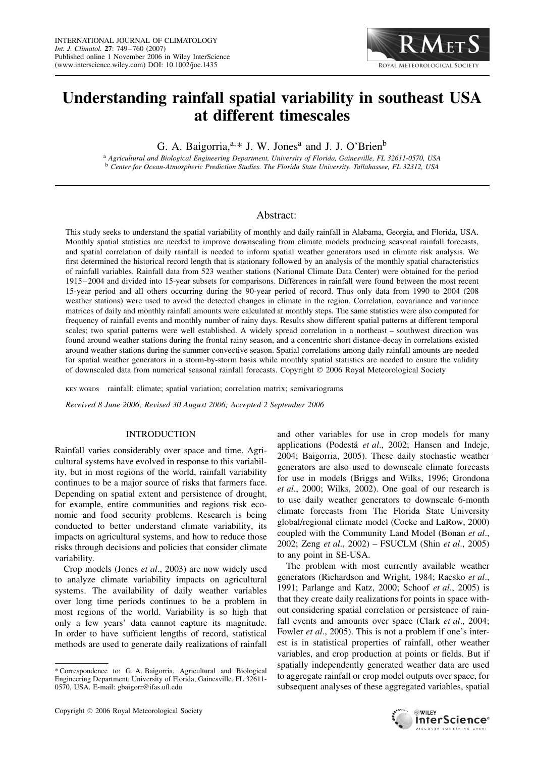# **Understanding rainfall spatial variability in southeast USA at different timescales**

G. A. Baigorria,<sup>a,\*</sup> J. W. Jones<sup>a</sup> and J. J. O'Brien<sup>b</sup>

<sup>a</sup> *Agricultural and Biological Engineering Department, University of Florida, Gainesville, FL 32611-0570, USA* <sup>b</sup> *Center for Ocean-Atmospheric Prediction Studies. The Florida State University. Tallahassee, FL 32312, USA*

# Abstract:

This study seeks to understand the spatial variability of monthly and daily rainfall in Alabama, Georgia, and Florida, USA. Monthly spatial statistics are needed to improve downscaling from climate models producing seasonal rainfall forecasts, and spatial correlation of daily rainfall is needed to inform spatial weather generators used in climate risk analysis. We first determined the historical record length that is stationary followed by an analysis of the monthly spatial characteristics of rainfall variables. Rainfall data from 523 weather stations (National Climate Data Center) were obtained for the period 1915–2004 and divided into 15-year subsets for comparisons. Differences in rainfall were found between the most recent 15-year period and all others occurring during the 90-year period of record. Thus only data from 1990 to 2004 (208 weather stations) were used to avoid the detected changes in climate in the region. Correlation, covariance and variance matrices of daily and monthly rainfall amounts were calculated at monthly steps. The same statistics were also computed for frequency of rainfall events and monthly number of rainy days. Results show different spatial patterns at different temporal scales; two spatial patterns were well established. A widely spread correlation in a northeast – southwest direction was found around weather stations during the frontal rainy season, and a concentric short distance-decay in correlations existed around weather stations during the summer convective season. Spatial correlations among daily rainfall amounts are needed for spatial weather generators in a storm-by-storm basis while monthly spatial statistics are needed to ensure the validity of downscaled data from numerical seasonal rainfall forecasts. Copyright  $© 2006 Royal Meteorological Society$ 

KEY WORDS rainfall; climate; spatial variation; correlation matrix; semivariograms

*Received 8 June 2006; Revised 30 August 2006; Accepted 2 September 2006*

#### INTRODUCTION

Rainfall varies considerably over space and time. Agricultural systems have evolved in response to this variability, but in most regions of the world, rainfall variability continues to be a major source of risks that farmers face. Depending on spatial extent and persistence of drought, for example, entire communities and regions risk economic and food security problems. Research is being conducted to better understand climate variability, its impacts on agricultural systems, and how to reduce those risks through decisions and policies that consider climate variability.

Crop models (Jones *et al*., 2003) are now widely used to analyze climate variability impacts on agricultural systems. The availability of daily weather variables over long time periods continues to be a problem in most regions of the world. Variability is so high that only a few years' data cannot capture its magnitude. In order to have sufficient lengths of record, statistical methods are used to generate daily realizations of rainfall

and other variables for use in crop models for many applications (Podestá et al., 2002; Hansen and Indeje, 2004; Baigorria, 2005). These daily stochastic weather generators are also used to downscale climate forecasts for use in models (Briggs and Wilks, 1996; Grondona *et al*., 2000; Wilks, 2002). One goal of our research is to use daily weather generators to downscale 6-month climate forecasts from The Florida State University global/regional climate model (Cocke and LaRow, 2000) coupled with the Community Land Model (Bonan *et al*., 2002; Zeng *et al*., 2002) – FSUCLM (Shin *et al*., 2005) to any point in SE-USA.

ROYAL METEOROLOGICAL SOCIETY

The problem with most currently available weather generators (Richardson and Wright, 1984; Racsko *et al*., 1991; Parlange and Katz, 2000; Schoof *et al*., 2005) is that they create daily realizations for points in space without considering spatial correlation or persistence of rainfall events and amounts over space (Clark *et al*., 2004; Fowler *et al.*, 2005). This is not a problem if one's interest is in statistical properties of rainfall, other weather variables, and crop production at points or fields. But if spatially independently generated weather data are used to aggregate rainfall or crop model outputs over space, for subsequent analyses of these aggregated variables, spatial



<sup>\*</sup> Correspondence to: G. A. Baigorria, Agricultural and Biological Engineering Department, University of Florida, Gainesville, FL 32611- 0570, USA. E-mail: gbaigorr@ifas.ufl.edu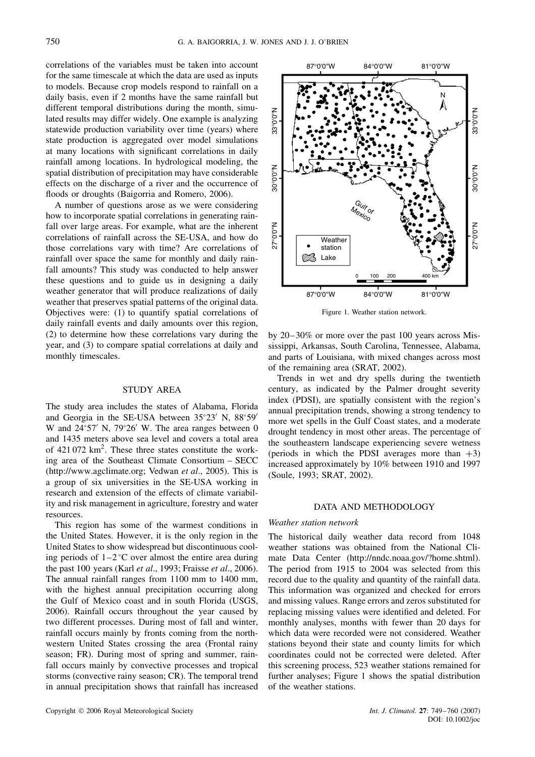correlations of the variables must be taken into account for the same timescale at which the data are used as inputs to models. Because crop models respond to rainfall on a daily basis, even if 2 months have the same rainfall but different temporal distributions during the month, simulated results may differ widely. One example is analyzing statewide production variability over time (years) where state production is aggregated over model simulations at many locations with significant correlations in daily rainfall among locations. In hydrological modeling, the spatial distribution of precipitation may have considerable effects on the discharge of a river and the occurrence of floods or droughts (Baigorria and Romero, 2006).

A number of questions arose as we were considering how to incorporate spatial correlations in generating rainfall over large areas. For example, what are the inherent correlations of rainfall across the SE-USA, and how do those correlations vary with time? Are correlations of rainfall over space the same for monthly and daily rainfall amounts? This study was conducted to help answer these questions and to guide us in designing a daily weather generator that will produce realizations of daily weather that preserves spatial patterns of the original data. Objectives were: (1) to quantify spatial correlations of daily rainfall events and daily amounts over this region, (2) to determine how these correlations vary during the year, and (3) to compare spatial correlations at daily and monthly timescales.

# STUDY AREA

The study area includes the states of Alabama, Florida and Georgia in the SE-USA between 35°23′ N, 88°59′ W and  $24^{\circ}57'$  N,  $79^{\circ}26'$  W. The area ranges between 0 and 1435 meters above sea level and covers a total area of  $421072 \text{ km}^2$ . These three states constitute the working area of the Southeast Climate Consortium – SECC (http://www.agclimate.org; Vedwan *et al*., 2005). This is a group of six universities in the SE-USA working in research and extension of the effects of climate variability and risk management in agriculture, forestry and water resources.

This region has some of the warmest conditions in the United States. However, it is the only region in the United States to show widespread but discontinuous cooling periods of  $1-2$  °C over almost the entire area during the past 100 years (Karl *et al*., 1993; Fraisse *et al*., 2006). The annual rainfall ranges from 1100 mm to 1400 mm, with the highest annual precipitation occurring along the Gulf of Mexico coast and in south Florida (USGS, 2006). Rainfall occurs throughout the year caused by two different processes. During most of fall and winter, rainfall occurs mainly by fronts coming from the northwestern United States crossing the area (Frontal rainy season; FR). During most of spring and summer, rainfall occurs mainly by convective processes and tropical storms (convective rainy season; CR). The temporal trend in annual precipitation shows that rainfall has increased



Figure 1. Weather station network.

by 20–30% or more over the past 100 years across Mississippi, Arkansas, South Carolina, Tennessee, Alabama, and parts of Louisiana, with mixed changes across most of the remaining area (SRAT, 2002).

Trends in wet and dry spells during the twentieth century, as indicated by the Palmer drought severity index (PDSI), are spatially consistent with the region's annual precipitation trends, showing a strong tendency to more wet spells in the Gulf Coast states, and a moderate drought tendency in most other areas. The percentage of the southeastern landscape experiencing severe wetness (periods in which the PDSI averages more than  $+3$ ) increased approximately by 10% between 1910 and 1997 (Soule, 1993; SRAT, 2002).

#### DATA AND METHODOLOGY

#### *Weather station network*

The historical daily weather data record from 1048 weather stations was obtained from the National Climate Data Center (http://nndc.noaa.gov/?home.shtml). The period from 1915 to 2004 was selected from this record due to the quality and quantity of the rainfall data. This information was organized and checked for errors and missing values. Range errors and zeros substituted for replacing missing values were identified and deleted. For monthly analyses, months with fewer than 20 days for which data were recorded were not considered. Weather stations beyond their state and county limits for which coordinates could not be corrected were deleted. After this screening process, 523 weather stations remained for further analyses; Figure 1 shows the spatial distribution of the weather stations.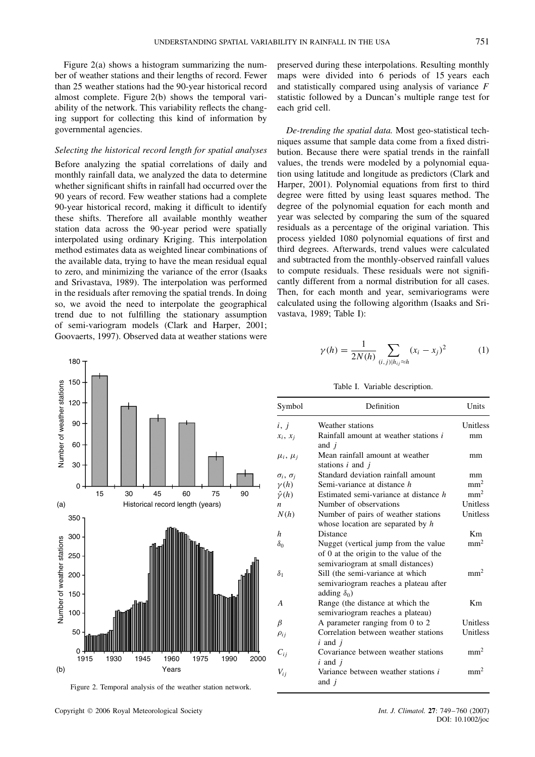Figure 2(a) shows a histogram summarizing the number of weather stations and their lengths of record. Fewer than 25 weather stations had the 90-year historical record almost complete. Figure 2(b) shows the temporal variability of the network. This variability reflects the changing support for collecting this kind of information by governmental agencies.

#### *Selecting the historical record length for spatial analyses*

Before analyzing the spatial correlations of daily and monthly rainfall data, we analyzed the data to determine whether significant shifts in rainfall had occurred over the 90 years of record. Few weather stations had a complete 90-year historical record, making it difficult to identify these shifts. Therefore all available monthly weather station data across the 90-year period were spatially interpolated using ordinary Kriging. This interpolation method estimates data as weighted linear combinations of the available data, trying to have the mean residual equal to zero, and minimizing the variance of the error (Isaaks and Srivastava, 1989). The interpolation was performed in the residuals after removing the spatial trends. In doing so, we avoid the need to interpolate the geographical trend due to not fulfilling the stationary assumption of semi-variogram models (Clark and Harper, 2001; Goovaerts, 1997). Observed data at weather stations were



Figure 2. Temporal analysis of the weather station network.

preserved during these interpolations. Resulting monthly maps were divided into 6 periods of 15 years each and statistically compared using analysis of variance *F* statistic followed by a Duncan's multiple range test for each grid cell.

*De-trending the spatial data.* Most geo-statistical techniques assume that sample data come from a fixed distribution. Because there were spatial trends in the rainfall values, the trends were modeled by a polynomial equation using latitude and longitude as predictors (Clark and Harper, 2001). Polynomial equations from first to third degree were fitted by using least squares method. The degree of the polynomial equation for each month and year was selected by comparing the sum of the squared residuals as a percentage of the original variation. This process yielded 1080 polynomial equations of first and third degrees. Afterwards, trend values were calculated and subtracted from the monthly-observed rainfall values to compute residuals. These residuals were not significantly different from a normal distribution for all cases. Then, for each month and year, semivariograms were calculated using the following algorithm (Isaaks and Srivastava, 1989; Table I):

$$
\gamma(h) = \frac{1}{2N(h)} \sum_{(i,j)|h_{ij} \approx h} (x_i - x_j)^2 \tag{1}
$$

Table I. Variable description.

| Symbol                  | Definition                                                                                                          | Units           |
|-------------------------|---------------------------------------------------------------------------------------------------------------------|-----------------|
| i, j                    | Weather stations                                                                                                    | Unitless        |
| $x_i, x_j$              | Rainfall amount at weather stations i<br>and $i$                                                                    | mm              |
| $\mu_i, \mu_i$          | Mean rainfall amount at weather<br>stations $i$ and $j$                                                             | mm              |
| $\sigma_i$ , $\sigma_i$ | Standard deviation rainfall amount                                                                                  | mm              |
| $\nu(h)$                | Semi-variance at distance h                                                                                         | mm <sup>2</sup> |
| $\hat{\gamma}(h)$       | Estimated semi-variance at distance h                                                                               | mm <sup>2</sup> |
| n                       | Number of observations                                                                                              | Unitless        |
| N(h)                    | Number of pairs of weather stations<br>whose location are separated by h                                            | Unitless        |
| h                       | Distance                                                                                                            | Km              |
| $\delta_0$              | Nugget (vertical jump from the value<br>of 0 at the origin to the value of the<br>semivariogram at small distances) | mm <sup>2</sup> |
| $\delta_1$              | Sill (the semi-variance at which<br>semivariogram reaches a plateau after<br>adding $\delta_0$ )                    | mm <sup>2</sup> |
| A                       | Range (the distance at which the<br>semivariogram reaches a plateau)                                                | Km              |
| $\beta$                 | A parameter ranging from 0 to 2                                                                                     | Unitless        |
| $\rho_{ij}$             | Correlation between weather stations<br>$i$ and $j$                                                                 | Unitless        |
| $C_{ii}$                | Covariance between weather stations<br>$i$ and $j$                                                                  | mm <sup>2</sup> |
| $V_{ii}$                | Variance between weather stations <i>i</i><br>and $i$                                                               | mm <sup>2</sup> |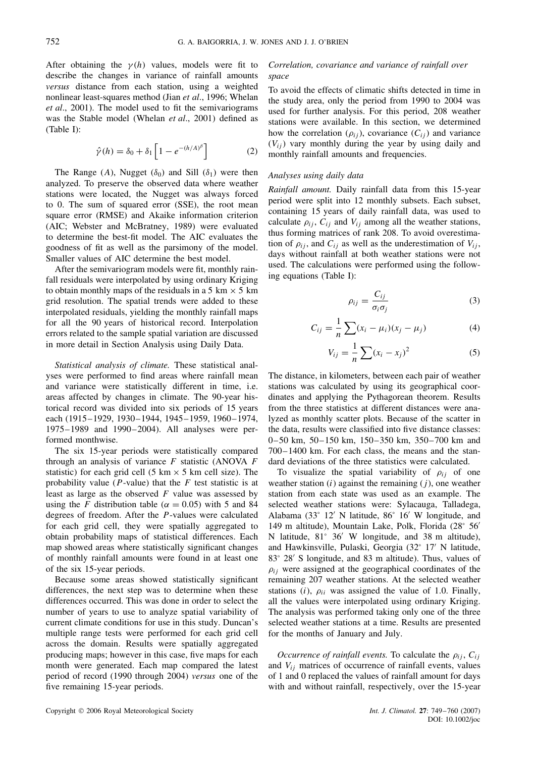After obtaining the  $\gamma(h)$  values, models were fit to describe the changes in variance of rainfall amounts *versus* distance from each station, using a weighted nonlinear least-squares method (Jian *et al*., 1996; Whelan *et al*., 2001). The model used to fit the semivariograms was the Stable model (Whelan *et al*., 2001) defined as (Table I):

$$
\hat{\gamma}(h) = \delta_0 + \delta_1 \left[ 1 - e^{-(h/A)^{\beta}} \right] \tag{2}
$$

The Range (*A*), Nugget ( $\delta_0$ ) and Sill ( $\delta_1$ ) were then analyzed. To preserve the observed data where weather stations were located, the Nugget was always forced to 0. The sum of squared error (SSE), the root mean square error (RMSE) and Akaike information criterion (AIC; Webster and McBratney, 1989) were evaluated to determine the best-fit model. The AIC evaluates the goodness of fit as well as the parsimony of the model. Smaller values of AIC determine the best model.

After the semivariogram models were fit, monthly rainfall residuals were interpolated by using ordinary Kriging to obtain monthly maps of the residuals in a 5 km  $\times$  5 km grid resolution. The spatial trends were added to these interpolated residuals, yielding the monthly rainfall maps for all the 90 years of historical record. Interpolation errors related to the sample spatial variation are discussed in more detail in Section Analysis using Daily Data.

*Statistical analysis of climate.* These statistical analyses were performed to find areas where rainfall mean and variance were statistically different in time, i.e. areas affected by changes in climate. The 90-year historical record was divided into six periods of 15 years each (1915–1929, 1930–1944, 1945–1959, 1960–1974, 1975–1989 and 1990–2004). All analyses were performed monthwise.

The six 15-year periods were statistically compared through an analysis of variance *F* statistic (ANOVA *F* statistic) for each grid cell (5 km  $\times$  5 km cell size). The probability value (*P*-value) that the *F* test statistic is at least as large as the observed *F* value was assessed by using the *F* distribution table ( $\alpha = 0.05$ ) with 5 and 84 degrees of freedom. After the *P*-values were calculated for each grid cell, they were spatially aggregated to obtain probability maps of statistical differences. Each map showed areas where statistically significant changes of monthly rainfall amounts were found in at least one of the six 15-year periods.

Because some areas showed statistically significant differences, the next step was to determine when these differences occurred. This was done in order to select the number of years to use to analyze spatial variability of current climate conditions for use in this study. Duncan's multiple range tests were performed for each grid cell across the domain. Results were spatially aggregated producing maps; however in this case, five maps for each month were generated. Each map compared the latest period of record (1990 through 2004) *versus* one of the five remaining 15-year periods.

# *Correlation, covariance and variance of rainfall over space*

To avoid the effects of climatic shifts detected in time in the study area, only the period from 1990 to 2004 was used for further analysis. For this period, 208 weather stations were available. In this section, we determined how the correlation  $(\rho_{ij})$ , covariance  $(C_{ij})$  and variance  $(V_{ij})$  vary monthly during the year by using daily and monthly rainfall amounts and frequencies.

#### *Analyses using daily data*

*Rainfall amount.* Daily rainfall data from this 15-year period were split into 12 monthly subsets. Each subset, containing 15 years of daily rainfall data, was used to calculate  $\rho_{ij}$ ,  $C_{ij}$  and  $V_{ij}$  among all the weather stations, thus forming matrices of rank 208. To avoid overestimation of  $\rho_{ij}$ , and  $C_{ij}$  as well as the underestimation of  $V_{ij}$ , days without rainfall at both weather stations were not used. The calculations were performed using the following equations (Table I):

$$
\rho_{ij} = \frac{C_{ij}}{\sigma_i \sigma_j} \tag{3}
$$

$$
C_{ij} = \frac{1}{n} \sum_{i} (x_i - \mu_i)(x_j - \mu_j)
$$
 (4)

$$
V_{ij} = \frac{1}{n} \sum (x_i - x_j)^2
$$
 (5)

The distance, in kilometers, between each pair of weather stations was calculated by using its geographical coordinates and applying the Pythagorean theorem. Results from the three statistics at different distances were analyzed as monthly scatter plots. Because of the scatter in the data, results were classified into five distance classes: 0–50 km, 50–150 km, 150–350 km, 350–700 km and 700–1400 km. For each class, the means and the standard deviations of the three statistics were calculated.

To visualize the spatial variability of  $\rho_{ii}$  of one weather station (*i*) against the remaining (*j* ), one weather station from each state was used as an example. The selected weather stations were: Sylacauga, Talladega, Alabama (33° 12 N latitude, 86° 16 W longitude, and 149 m altitude), Mountain Lake, Polk, Florida (28° 56 N latitude,  $81^\circ$  36' W longitude, and 38 m altitude), and Hawkinsville, Pulaski, Georgia (32° 17 N latitude, 83° 28′ S longitude, and 83 m altitude). Thus, values of  $\rho_{ij}$  were assigned at the geographical coordinates of the remaining 207 weather stations. At the selected weather stations  $(i)$ ,  $\rho_{ii}$  was assigned the value of 1.0. Finally, all the values were interpolated using ordinary Kriging. The analysis was performed taking only one of the three selected weather stations at a time. Results are presented for the months of January and July.

*Occurrence of rainfall events.* To calculate the  $\rho_{ij}$ ,  $C_{ij}$ and *Vij* matrices of occurrence of rainfall events, values of 1 and 0 replaced the values of rainfall amount for days with and without rainfall, respectively, over the 15-year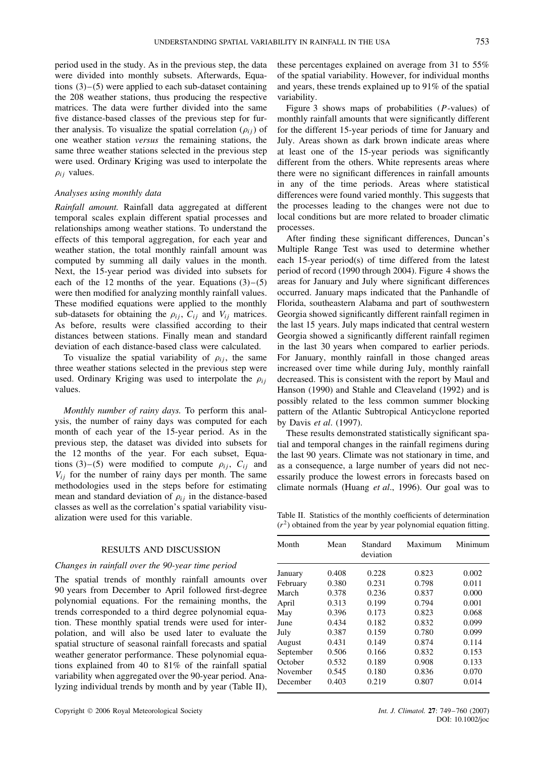period used in the study. As in the previous step, the data were divided into monthly subsets. Afterwards, Equations (3)–(5) were applied to each sub-dataset containing the 208 weather stations, thus producing the respective matrices. The data were further divided into the same five distance-based classes of the previous step for further analysis. To visualize the spatial correlation  $(\rho_{ij})$  of one weather station *versus* the remaining stations, the same three weather stations selected in the previous step were used. Ordinary Kriging was used to interpolate the  $\rho_{ij}$  values.

# *Analyses using monthly data*

*Rainfall amount.* Rainfall data aggregated at different temporal scales explain different spatial processes and relationships among weather stations. To understand the effects of this temporal aggregation, for each year and weather station, the total monthly rainfall amount was computed by summing all daily values in the month. Next, the 15-year period was divided into subsets for each of the 12 months of the year. Equations  $(3)-(5)$ were then modified for analyzing monthly rainfall values. These modified equations were applied to the monthly sub-datasets for obtaining the  $\rho_{ij}$ ,  $C_{ij}$  and  $V_{ij}$  matrices. As before, results were classified according to their distances between stations. Finally mean and standard deviation of each distance-based class were calculated.

To visualize the spatial variability of  $\rho_{ij}$ , the same three weather stations selected in the previous step were used. Ordinary Kriging was used to interpolate the *ρij* values.

*Monthly number of rainy days.* To perform this analysis, the number of rainy days was computed for each month of each year of the 15-year period. As in the previous step, the dataset was divided into subsets for the 12 months of the year. For each subset, Equations (3)–(5) were modified to compute  $\rho_{ij}$ ,  $C_{ij}$  and  $V_{ij}$  for the number of rainy days per month. The same methodologies used in the steps before for estimating mean and standard deviation of  $\rho_{ij}$  in the distance-based classes as well as the correlation's spatial variability visualization were used for this variable.

# RESULTS AND DISCUSSION

### *Changes in rainfall over the 90-year time period*

The spatial trends of monthly rainfall amounts over 90 years from December to April followed first-degree polynomial equations. For the remaining months, the trends corresponded to a third degree polynomial equation. These monthly spatial trends were used for interpolation, and will also be used later to evaluate the spatial structure of seasonal rainfall forecasts and spatial weather generator performance. These polynomial equations explained from 40 to 81% of the rainfall spatial variability when aggregated over the 90-year period. Analyzing individual trends by month and by year (Table II),

these percentages explained on average from 31 to 55% of the spatial variability. However, for individual months and years, these trends explained up to 91% of the spatial variability.

Figure 3 shows maps of probabilities (*P*-values) of monthly rainfall amounts that were significantly different for the different 15-year periods of time for January and July. Areas shown as dark brown indicate areas where at least one of the 15-year periods was significantly different from the others. White represents areas where there were no significant differences in rainfall amounts in any of the time periods. Areas where statistical differences were found varied monthly. This suggests that the processes leading to the changes were not due to local conditions but are more related to broader climatic processes.

After finding these significant differences, Duncan's Multiple Range Test was used to determine whether each 15-year period(s) of time differed from the latest period of record (1990 through 2004). Figure 4 shows the areas for January and July where significant differences occurred. January maps indicated that the Panhandle of Florida, southeastern Alabama and part of southwestern Georgia showed significantly different rainfall regimen in the last 15 years. July maps indicated that central western Georgia showed a significantly different rainfall regimen in the last 30 years when compared to earlier periods. For January, monthly rainfall in those changed areas increased over time while during July, monthly rainfall decreased. This is consistent with the report by Maul and Hanson (1990) and Stahle and Cleaveland (1992) and is possibly related to the less common summer blocking pattern of the Atlantic Subtropical Anticyclone reported by Davis *et al*. (1997).

These results demonstrated statistically significant spatial and temporal changes in the rainfall regimens during the last 90 years. Climate was not stationary in time, and as a consequence, a large number of years did not necessarily produce the lowest errors in forecasts based on climate normals (Huang *et al*., 1996). Our goal was to

Table II. Statistics of the monthly coefficients of determination  $(r<sup>2</sup>)$  obtained from the year by year polynomial equation fitting.

| Month     | Mean  | Standard<br>deviation | Maximum | Minimum |
|-----------|-------|-----------------------|---------|---------|
| January   | 0.408 | 0.228                 | 0.823   | 0.002   |
| February  | 0.380 | 0.231                 | 0.798   | 0.011   |
| March     | 0.378 | 0.236                 | 0.837   | 0.000   |
| April     | 0.313 | 0.199                 | 0.794   | 0.001   |
| May       | 0.396 | 0.173                 | 0.823   | 0.068   |
| June      | 0.434 | 0.182                 | 0.832   | 0.099   |
| July      | 0.387 | 0.159                 | 0.780   | 0.099   |
| August    | 0.431 | 0.149                 | 0.874   | 0.114   |
| September | 0.506 | 0.166                 | 0.832   | 0.153   |
| October   | 0.532 | 0.189                 | 0.908   | 0.133   |
| November  | 0.545 | 0.180                 | 0.836   | 0.070   |
| December  | 0.403 | 0.219                 | 0.807   | 0.014   |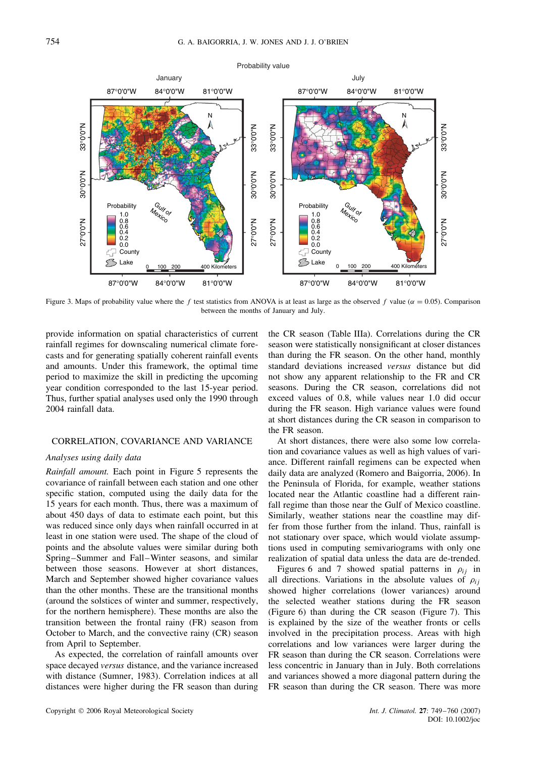

Figure 3. Maps of probability value where the *f* test statistics from ANOVA is at least as large as the observed *f* value ( $\alpha = 0.05$ ). Comparison between the months of January and July.

provide information on spatial characteristics of current rainfall regimes for downscaling numerical climate forecasts and for generating spatially coherent rainfall events and amounts. Under this framework, the optimal time period to maximize the skill in predicting the upcoming year condition corresponded to the last 15-year period. Thus, further spatial analyses used only the 1990 through 2004 rainfall data.

#### CORRELATION, COVARIANCE AND VARIANCE

# *Analyses using daily data*

*Rainfall amount.* Each point in Figure 5 represents the covariance of rainfall between each station and one other specific station, computed using the daily data for the 15 years for each month. Thus, there was a maximum of about 450 days of data to estimate each point, but this was reduced since only days when rainfall occurred in at least in one station were used. The shape of the cloud of points and the absolute values were similar during both Spring–Summer and Fall–Winter seasons, and similar between those seasons. However at short distances, March and September showed higher covariance values than the other months. These are the transitional months (around the solstices of winter and summer, respectively, for the northern hemisphere). These months are also the transition between the frontal rainy (FR) season from October to March, and the convective rainy (CR) season from April to September.

As expected, the correlation of rainfall amounts over space decayed *versus* distance, and the variance increased with distance (Sumner, 1983). Correlation indices at all distances were higher during the FR season than during the CR season (Table IIIa). Correlations during the CR season were statistically nonsignificant at closer distances than during the FR season. On the other hand, monthly standard deviations increased *versus* distance but did not show any apparent relationship to the FR and CR seasons. During the CR season, correlations did not exceed values of 0.8, while values near 1.0 did occur during the FR season. High variance values were found at short distances during the CR season in comparison to the FR season.

At short distances, there were also some low correlation and covariance values as well as high values of variance. Different rainfall regimens can be expected when daily data are analyzed (Romero and Baigorria, 2006). In the Peninsula of Florida, for example, weather stations located near the Atlantic coastline had a different rainfall regime than those near the Gulf of Mexico coastline. Similarly, weather stations near the coastline may differ from those further from the inland. Thus, rainfall is not stationary over space, which would violate assumptions used in computing semivariograms with only one realization of spatial data unless the data are de-trended.

Figures 6 and 7 showed spatial patterns in  $\rho_{ij}$  in all directions. Variations in the absolute values of  $\rho_{ii}$ showed higher correlations (lower variances) around the selected weather stations during the FR season (Figure 6) than during the CR season (Figure 7). This is explained by the size of the weather fronts or cells involved in the precipitation process. Areas with high correlations and low variances were larger during the FR season than during the CR season. Correlations were less concentric in January than in July. Both correlations and variances showed a more diagonal pattern during the FR season than during the CR season. There was more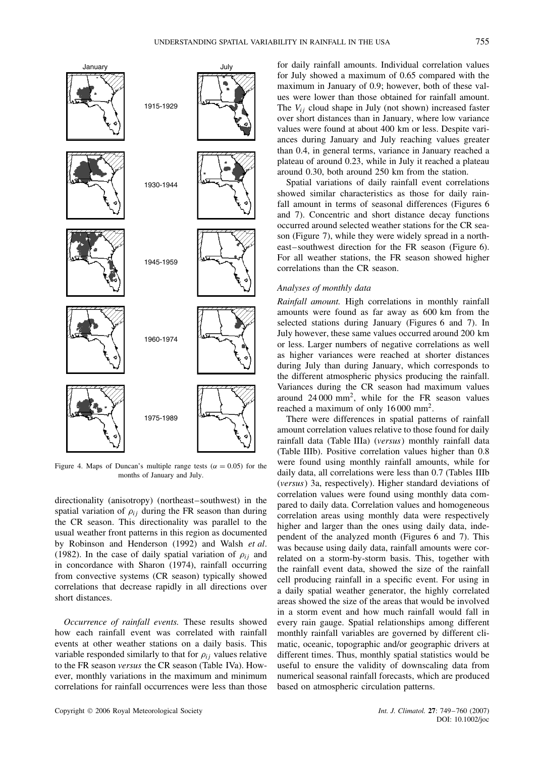

Figure 4. Maps of Duncan's multiple range tests ( $\alpha = 0.05$ ) for the months of January and July.

directionality (anisotropy) (northeast–southwest) in the spatial variation of  $\rho_{ij}$  during the FR season than during the CR season. This directionality was parallel to the usual weather front patterns in this region as documented by Robinson and Henderson (1992) and Walsh *et al*. (1982). In the case of daily spatial variation of  $\rho_{ii}$  and in concordance with Sharon (1974), rainfall occurring from convective systems (CR season) typically showed correlations that decrease rapidly in all directions over short distances.

*Occurrence of rainfall events.* These results showed how each rainfall event was correlated with rainfall events at other weather stations on a daily basis. This variable responded similarly to that for  $\rho_{ij}$  values relative to the FR season *versus* the CR season (Table IVa). However, monthly variations in the maximum and minimum correlations for rainfall occurrences were less than those

for daily rainfall amounts. Individual correlation values for July showed a maximum of 0.65 compared with the maximum in January of 0.9; however, both of these values were lower than those obtained for rainfall amount. The *Vij* cloud shape in July (not shown) increased faster over short distances than in January, where low variance values were found at about 400 km or less. Despite variances during January and July reaching values greater than 0.4, in general terms, variance in January reached a plateau of around 0.23, while in July it reached a plateau around 0.30, both around 250 km from the station.

Spatial variations of daily rainfall event correlations showed similar characteristics as those for daily rainfall amount in terms of seasonal differences (Figures 6 and 7). Concentric and short distance decay functions occurred around selected weather stations for the CR season (Figure 7), while they were widely spread in a northeast–southwest direction for the FR season (Figure 6). For all weather stations, the FR season showed higher correlations than the CR season.

# *Analyses of monthly data*

*Rainfall amount.* High correlations in monthly rainfall amounts were found as far away as 600 km from the selected stations during January (Figures 6 and 7). In July however, these same values occurred around 200 km or less. Larger numbers of negative correlations as well as higher variances were reached at shorter distances during July than during January, which corresponds to the different atmospheric physics producing the rainfall. Variances during the CR season had maximum values around 24 000 mm2, while for the FR season values reached a maximum of only 16 000 mm2.

There were differences in spatial patterns of rainfall amount correlation values relative to those found for daily rainfall data (Table IIIa) (*versus*) monthly rainfall data (Table IIIb). Positive correlation values higher than 0.8 were found using monthly rainfall amounts, while for daily data, all correlations were less than 0.7 (Tables IIIb (*versus*) 3a, respectively). Higher standard deviations of correlation values were found using monthly data compared to daily data. Correlation values and homogeneous correlation areas using monthly data were respectively higher and larger than the ones using daily data, independent of the analyzed month (Figures 6 and 7). This was because using daily data, rainfall amounts were correlated on a storm-by-storm basis. This, together with the rainfall event data, showed the size of the rainfall cell producing rainfall in a specific event. For using in a daily spatial weather generator, the highly correlated areas showed the size of the areas that would be involved in a storm event and how much rainfall would fall in every rain gauge. Spatial relationships among different monthly rainfall variables are governed by different climatic, oceanic, topographic and/or geographic drivers at different times. Thus, monthly spatial statistics would be useful to ensure the validity of downscaling data from numerical seasonal rainfall forecasts, which are produced based on atmospheric circulation patterns.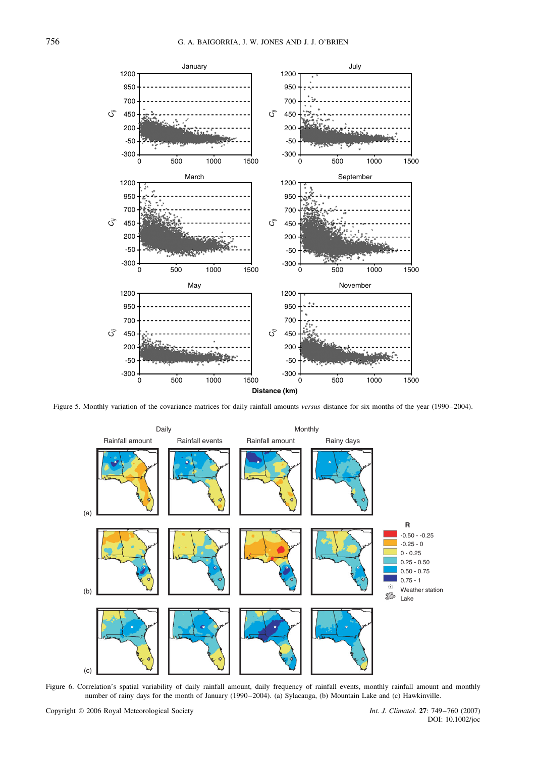

Figure 5. Monthly variation of the covariance matrices for daily rainfall amounts *versus* distance for six months of the year (1990–2004).



Figure 6. Correlation's spatial variability of daily rainfall amount, daily frequency of rainfall events, monthly rainfall amount and monthly number of rainy days for the month of January (1990–2004). (a) Sylacauga, (b) Mountain Lake and (c) Hawkinville.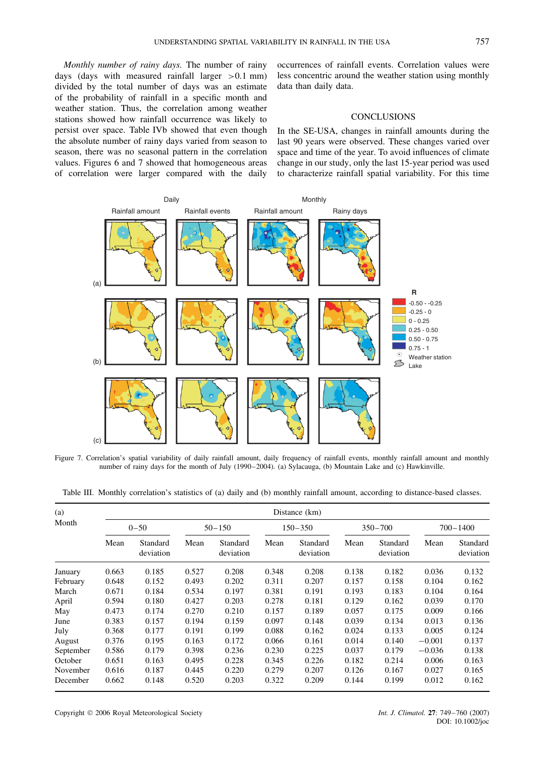*Monthly number of rainy days.* The number of rainy days (days with measured rainfall larger *>*0*.*1 mm) divided by the total number of days was an estimate of the probability of rainfall in a specific month and weather station. Thus, the correlation among weather stations showed how rainfall occurrence was likely to persist over space. Table IVb showed that even though the absolute number of rainy days varied from season to season, there was no seasonal pattern in the correlation values. Figures 6 and 7 showed that homogeneous areas of correlation were larger compared with the daily

occurrences of rainfall events. Correlation values were less concentric around the weather station using monthly data than daily data.

# **CONCLUSIONS**

In the SE-USA, changes in rainfall amounts during the last 90 years were observed. These changes varied over space and time of the year. To avoid influences of climate change in our study, only the last 15-year period was used to characterize rainfall spatial variability. For this time



Figure 7. Correlation's spatial variability of daily rainfall amount, daily frequency of rainfall events, monthly rainfall amount and monthly number of rainy days for the month of July (1990–2004). (a) Sylacauga, (b) Mountain Lake and (c) Hawkinville.

Table III. Monthly correlation's statistics of (a) daily and (b) monthly rainfall amount, according to distance-based classes.

| (a)<br>Month |       |                       |       | Distance (km)         |       |                       |       |                       |          |                       |  |
|--------------|-------|-----------------------|-------|-----------------------|-------|-----------------------|-------|-----------------------|----------|-----------------------|--|
|              |       | $0 - 50$              |       | $50 - 150$            |       | $150 - 350$           |       | $350 - 700$           |          | 700-1400              |  |
|              | Mean  | Standard<br>deviation | Mean  | Standard<br>deviation | Mean  | Standard<br>deviation | Mean  | Standard<br>deviation | Mean     | Standard<br>deviation |  |
| January      | 0.663 | 0.185                 | 0.527 | 0.208                 | 0.348 | 0.208                 | 0.138 | 0.182                 | 0.036    | 0.132                 |  |
| February     | 0.648 | 0.152                 | 0.493 | 0.202                 | 0.311 | 0.207                 | 0.157 | 0.158                 | 0.104    | 0.162                 |  |
| March        | 0.671 | 0.184                 | 0.534 | 0.197                 | 0.381 | 0.191                 | 0.193 | 0.183                 | 0.104    | 0.164                 |  |
| April        | 0.594 | 0.180                 | 0.427 | 0.203                 | 0.278 | 0.181                 | 0.129 | 0.162                 | 0.039    | 0.170                 |  |
| May          | 0.473 | 0.174                 | 0.270 | 0.210                 | 0.157 | 0.189                 | 0.057 | 0.175                 | 0.009    | 0.166                 |  |
| June         | 0.383 | 0.157                 | 0.194 | 0.159                 | 0.097 | 0.148                 | 0.039 | 0.134                 | 0.013    | 0.136                 |  |
| July         | 0.368 | 0.177                 | 0.191 | 0.199                 | 0.088 | 0.162                 | 0.024 | 0.133                 | 0.005    | 0.124                 |  |
| August       | 0.376 | 0.195                 | 0.163 | 0.172                 | 0.066 | 0.161                 | 0.014 | 0.140                 | $-0.001$ | 0.137                 |  |
| September    | 0.586 | 0.179                 | 0.398 | 0.236                 | 0.230 | 0.225                 | 0.037 | 0.179                 | $-0.036$ | 0.138                 |  |
| October      | 0.651 | 0.163                 | 0.495 | 0.228                 | 0.345 | 0.226                 | 0.182 | 0.214                 | 0.006    | 0.163                 |  |
| November     | 0.616 | 0.187                 | 0.445 | 0.220                 | 0.279 | 0.207                 | 0.126 | 0.167                 | 0.027    | 0.165                 |  |
| December     | 0.662 | 0.148                 | 0.520 | 0.203                 | 0.322 | 0.209                 | 0.144 | 0.199                 | 0.012    | 0.162                 |  |

Copyright 2006 Royal Meteorological Society *Int. J. Climatol.* **27**: 749–760 (2007)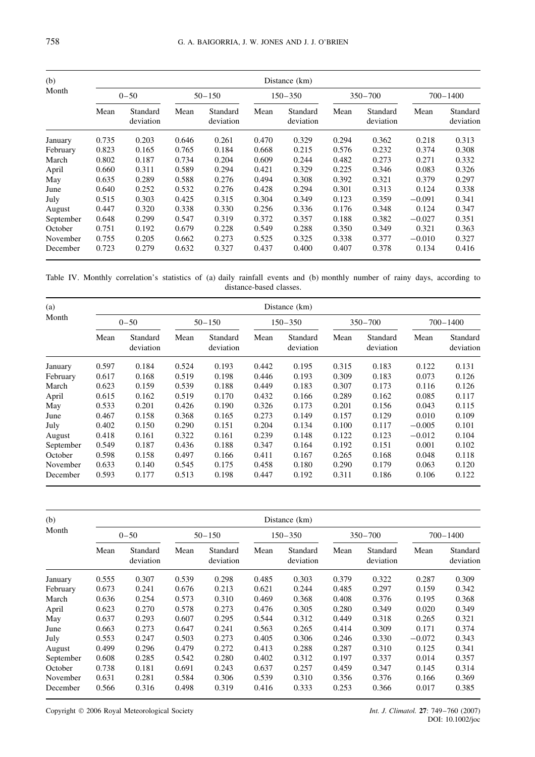| (b)<br>Month |       |                       |       |                       |             | Distance (km)         |             |                       |              |                       |  |  |  |  |
|--------------|-------|-----------------------|-------|-----------------------|-------------|-----------------------|-------------|-----------------------|--------------|-----------------------|--|--|--|--|
|              |       | $0 - 50$              |       | $50 - 150$            | $150 - 350$ |                       | $350 - 700$ |                       | $700 - 1400$ |                       |  |  |  |  |
|              | Mean  | Standard<br>deviation | Mean  | Standard<br>deviation | Mean        | Standard<br>deviation | Mean        | Standard<br>deviation | Mean         | Standard<br>deviation |  |  |  |  |
| January      | 0.735 | 0.203                 | 0.646 | 0.261                 | 0.470       | 0.329                 | 0.294       | 0.362                 | 0.218        | 0.313                 |  |  |  |  |
| February     | 0.823 | 0.165                 | 0.765 | 0.184                 | 0.668       | 0.215                 | 0.576       | 0.232                 | 0.374        | 0.308                 |  |  |  |  |
| March        | 0.802 | 0.187                 | 0.734 | 0.204                 | 0.609       | 0.244                 | 0.482       | 0.273                 | 0.271        | 0.332                 |  |  |  |  |
| April        | 0.660 | 0.311                 | 0.589 | 0.294                 | 0.421       | 0.329                 | 0.225       | 0.346                 | 0.083        | 0.326                 |  |  |  |  |
| May          | 0.635 | 0.289                 | 0.588 | 0.276                 | 0.494       | 0.308                 | 0.392       | 0.321                 | 0.379        | 0.297                 |  |  |  |  |
| June         | 0.640 | 0.252                 | 0.532 | 0.276                 | 0.428       | 0.294                 | 0.301       | 0.313                 | 0.124        | 0.338                 |  |  |  |  |
| July         | 0.515 | 0.303                 | 0.425 | 0.315                 | 0.304       | 0.349                 | 0.123       | 0.359                 | $-0.091$     | 0.341                 |  |  |  |  |
| August       | 0.447 | 0.320                 | 0.338 | 0.330                 | 0.256       | 0.336                 | 0.176       | 0.348                 | 0.124        | 0.347                 |  |  |  |  |
| September    | 0.648 | 0.299                 | 0.547 | 0.319                 | 0.372       | 0.357                 | 0.188       | 0.382                 | $-0.027$     | 0.351                 |  |  |  |  |
| October      | 0.751 | 0.192                 | 0.679 | 0.228                 | 0.549       | 0.288                 | 0.350       | 0.349                 | 0.321        | 0.363                 |  |  |  |  |
| November     | 0.755 | 0.205                 | 0.662 | 0.273                 | 0.525       | 0.325                 | 0.338       | 0.377                 | $-0.010$     | 0.327                 |  |  |  |  |
| December     | 0.723 | 0.279                 | 0.632 | 0.327                 | 0.437       | 0.400                 | 0.407       | 0.378                 | 0.134        | 0.416                 |  |  |  |  |

Table IV. Monthly correlation's statistics of (a) daily rainfall events and (b) monthly number of rainy days, according to distance-based classes.

| (a)<br>Month |          |                       |       |                       |       | Distance (km)         |       |                       |          |                       |  |  |  |  |  |  |
|--------------|----------|-----------------------|-------|-----------------------|-------|-----------------------|-------|-----------------------|----------|-----------------------|--|--|--|--|--|--|
|              | $0 - 50$ |                       |       | $50 - 150$            |       | $150 - 350$           |       | $350 - 700$           |          | 700-1400              |  |  |  |  |  |  |
|              | Mean     | Standard<br>deviation | Mean  | Standard<br>deviation | Mean  | Standard<br>deviation | Mean  | Standard<br>deviation | Mean     | Standard<br>deviation |  |  |  |  |  |  |
| January      | 0.597    | 0.184                 | 0.524 | 0.193                 | 0.442 | 0.195                 | 0.315 | 0.183                 | 0.122    | 0.131                 |  |  |  |  |  |  |
| February     | 0.617    | 0.168                 | 0.519 | 0.198                 | 0.446 | 0.193                 | 0.309 | 0.183                 | 0.073    | 0.126                 |  |  |  |  |  |  |
| March        | 0.623    | 0.159                 | 0.539 | 0.188                 | 0.449 | 0.183                 | 0.307 | 0.173                 | 0.116    | 0.126                 |  |  |  |  |  |  |
| April        | 0.615    | 0.162                 | 0.519 | 0.170                 | 0.432 | 0.166                 | 0.289 | 0.162                 | 0.085    | 0.117                 |  |  |  |  |  |  |
| May          | 0.533    | 0.201                 | 0.426 | 0.190                 | 0.326 | 0.173                 | 0.201 | 0.156                 | 0.043    | 0.115                 |  |  |  |  |  |  |
| June         | 0.467    | 0.158                 | 0.368 | 0.165                 | 0.273 | 0.149                 | 0.157 | 0.129                 | 0.010    | 0.109                 |  |  |  |  |  |  |
| July         | 0.402    | 0.150                 | 0.290 | 0.151                 | 0.204 | 0.134                 | 0.100 | 0.117                 | $-0.005$ | 0.101                 |  |  |  |  |  |  |
| August       | 0.418    | 0.161                 | 0.322 | 0.161                 | 0.239 | 0.148                 | 0.122 | 0.123                 | $-0.012$ | 0.104                 |  |  |  |  |  |  |
| September    | 0.549    | 0.187                 | 0.436 | 0.188                 | 0.347 | 0.164                 | 0.192 | 0.151                 | 0.001    | 0.102                 |  |  |  |  |  |  |
| October      | 0.598    | 0.158                 | 0.497 | 0.166                 | 0.411 | 0.167                 | 0.265 | 0.168                 | 0.048    | 0.118                 |  |  |  |  |  |  |
| November     | 0.633    | 0.140                 | 0.545 | 0.175                 | 0.458 | 0.180                 | 0.290 | 0.179                 | 0.063    | 0.120                 |  |  |  |  |  |  |
| December     | 0.593    | 0.177                 | 0.513 | 0.198                 | 0.447 | 0.192                 | 0.311 | 0.186                 | 0.106    | 0.122                 |  |  |  |  |  |  |

| (b)<br>Month |          |                       |            |                       |             | Distance (km)         |             |                       |              |                       |  |  |  |  |
|--------------|----------|-----------------------|------------|-----------------------|-------------|-----------------------|-------------|-----------------------|--------------|-----------------------|--|--|--|--|
|              | $0 - 50$ |                       | $50 - 150$ |                       | $150 - 350$ |                       | $350 - 700$ |                       | $700 - 1400$ |                       |  |  |  |  |
|              | Mean     | Standard<br>deviation | Mean       | Standard<br>deviation | Mean        | Standard<br>deviation | Mean        | Standard<br>deviation | Mean         | Standard<br>deviation |  |  |  |  |
| January      | 0.555    | 0.307                 | 0.539      | 0.298                 | 0.485       | 0.303                 | 0.379       | 0.322                 | 0.287        | 0.309                 |  |  |  |  |
| February     | 0.673    | 0.241                 | 0.676      | 0.213                 | 0.621       | 0.244                 | 0.485       | 0.297                 | 0.159        | 0.342                 |  |  |  |  |
| March        | 0.636    | 0.254                 | 0.573      | 0.310                 | 0.469       | 0.368                 | 0.408       | 0.376                 | 0.195        | 0.368                 |  |  |  |  |
| April        | 0.623    | 0.270                 | 0.578      | 0.273                 | 0.476       | 0.305                 | 0.280       | 0.349                 | 0.020        | 0.349                 |  |  |  |  |
| May          | 0.637    | 0.293                 | 0.607      | 0.295                 | 0.544       | 0.312                 | 0.449       | 0.318                 | 0.265        | 0.321                 |  |  |  |  |
| June         | 0.663    | 0.273                 | 0.647      | 0.241                 | 0.563       | 0.265                 | 0.414       | 0.309                 | 0.171        | 0.374                 |  |  |  |  |
| July         | 0.553    | 0.247                 | 0.503      | 0.273                 | 0.405       | 0.306                 | 0.246       | 0.330                 | $-0.072$     | 0.343                 |  |  |  |  |
| August       | 0.499    | 0.296                 | 0.479      | 0.272                 | 0.413       | 0.288                 | 0.287       | 0.310                 | 0.125        | 0.341                 |  |  |  |  |
| September    | 0.608    | 0.285                 | 0.542      | 0.280                 | 0.402       | 0.312                 | 0.197       | 0.337                 | 0.014        | 0.357                 |  |  |  |  |
| October      | 0.738    | 0.181                 | 0.691      | 0.243                 | 0.637       | 0.257                 | 0.459       | 0.347                 | 0.145        | 0.314                 |  |  |  |  |
| November     | 0.631    | 0.281                 | 0.584      | 0.306                 | 0.539       | 0.310                 | 0.356       | 0.376                 | 0.166        | 0.369                 |  |  |  |  |
| December     | 0.566    | 0.316                 | 0.498      | 0.319                 | 0.416       | 0.333                 | 0.253       | 0.366                 | 0.017        | 0.385                 |  |  |  |  |

Copyright 2006 Royal Meteorological Society *Int. J. Climatol.* **27**: 749–760 (2007)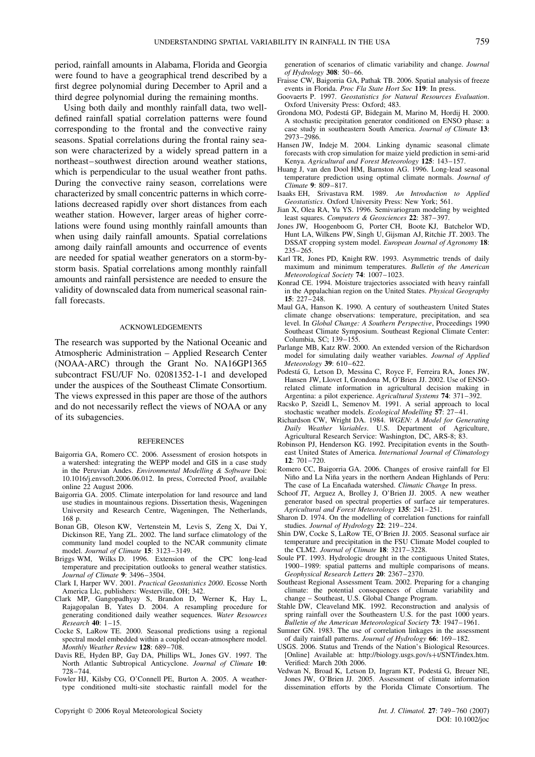period, rainfall amounts in Alabama, Florida and Georgia were found to have a geographical trend described by a first degree polynomial during December to April and a third degree polynomial during the remaining months.

Using both daily and monthly rainfall data, two welldefined rainfall spatial correlation patterns were found corresponding to the frontal and the convective rainy seasons. Spatial correlations during the frontal rainy season were characterized by a widely spread pattern in a northeast–southwest direction around weather stations, which is perpendicular to the usual weather front paths. During the convective rainy season, correlations were characterized by small concentric patterns in which correlations decreased rapidly over short distances from each weather station. However, larger areas of higher correlations were found using monthly rainfall amounts than when using daily rainfall amounts. Spatial correlations among daily rainfall amounts and occurrence of events are needed for spatial weather generators on a storm-bystorm basis. Spatial correlations among monthly rainfall amounts and rainfall persistence are needed to ensure the validity of downscaled data from numerical seasonal rainfall forecasts.

#### ACKNOWLEDGEMENTS

The research was supported by the National Oceanic and Atmospheric Administration – Applied Research Center (NOAA-ARC) through the Grant No. NA16GP1365 subcontract FSU/UF No. 02081352-1-1 and developed under the auspices of the Southeast Climate Consortium. The views expressed in this paper are those of the authors and do not necessarily reflect the views of NOAA or any of its subagencies.

#### **REFERENCES**

- Baigorria GA, Romero CC. 2006. Assessment of erosion hotspots in a watershed: integrating the WEPP model and GIS in a case study in the Peruvian Andes. *Environmental Modelling & Software* Doi: 10.1016/j.envsoft.2006.06.012. In press, Corrected Proof, available online 22 August 2006.
- Baigorria GA. 2005. Climate interpolation for land resource and land use studies in mountainous regions. Dissertation thesis, Wageningen University and Research Centre, Wageningen, The Netherlands, 168 p.
- Bonan GB, Oleson KW, Vertenstein M, Levis S, Zeng X, Dai Y, Dickinson RE, Yang ZL. 2002. The land surface climatology of the community land model coupled to the NCAR community climate model. *Journal of Climate* **15**: 3123–3149.
- Briggs WM, Wilks D. 1996. Extension of the CPC long-lead temperature and precipitation outlooks to general weather statistics. *Journal of Climate* **9**: 3496–3504.
- Clark I, Harper WV. 2001. *Practical Geostatistics 2000*. Ecosse North America Llc, publishers: Westerville, OH; 342.
- Clark MP, Gangopadhyay S, Brandon D, Werner K, Hay L, Rajagopalan B, Yates D. 2004. A resampling procedure for generating conditioned daily weather sequences. *Water Resources Research* **40**: 1–15.
- Cocke S, LaRow TE. 2000. Seasonal predictions using a regional spectral model embedded within a coupled ocean-atmosphere model. *Monthly Weather Review* **128**: 689–708.
- Davis RE, Hyden BP, Gay DA, Phillips WL, Jones GV. 1997. The North Atlantic Subtropical Anticyclone. *Journal of Climate* **10**: 728–744.
- Fowler HJ, Kilsby CG, O'Connell PE, Burton A. 2005. A weathertype conditioned multi-site stochastic rainfall model for the

Copyright 2006 Royal Meteorological Society *Int. J. Climatol.* **27**: 749–760 (2007)

generation of scenarios of climatic variability and change. *Journal of Hydrology* **308**: 50–66.

- Fraisse CW, Baigorria GA, Pathak TB. 2006. Spatial analysis of freeze events in Florida. *Proc Fla State Hort Soc* **119**: In press.
- Goovaerts P. 1997. *Geostatistics for Natural Resources Evaluation*. Oxford University Press: Oxford; 483.
- Grondona MO, Podesta GP, Bidegain M, Marino M, Hordij H. 2000. ´ A stochastic precipitation generator conditioned on ENSO phase: a case study in southeastern South America. *Journal of Climate* **13**: 2973–2986.
- Hansen JW, Indeje M. 2004. Linking dynamic seasonal climate forecasts with crop simulation for maize yield prediction in semi-arid Kenya. *Agricultural and Forest Meteorology* **125**: 143–157.
- Huang J, van den Dool HM, Barnston AG. 1996. Long-lead seasonal temperature prediction using optimal climate normals. *Journal of Climate* **9**: 809–817.
- Isaaks EH, Srivastava RM. 1989. *An Introduction to Applied Geostatistics*. Oxford University Press: New York; 561.
- Jian X, Olea RA, Yu YS. 1996. Semivariogram modeling by weighted least squares. *Computers & Geosciences* **22**: 387–397.
- Jones JW, Hoogenboom G, Porter CH, Boote KJ, Batchelor WD, Hunt LA, Wilkens PW, Singh U, Gijsman AJ, Ritchie JT. 2003. The DSSAT cropping system model. *European Journal of Agronomy* **18**: 235–265.
- Karl TR, Jones PD, Knight RW. 1993. Asymmetric trends of daily maximum and minimum temperatures. *Bulletin of the American Meteorological Society* **74**: 1007–1023.
- Konrad CE. 1994. Moisture trajectories associated with heavy rainfall in the Appalachian region on the United States. *Physical Geography* **15**: 227–248.
- Maul GA, Hanson K. 1990. A century of southeastern United States climate change observations: temperature, precipitation, and sea level. In *Global Change: A Southern Perspective*, Proceedings 1990 Southeast Climate Symposium. Southeast Regional Climate Center: Columbia, SC; 139–155.
- Parlange MB, Katz RW. 2000. An extended version of the Richardson model for simulating daily weather variables. *Journal of Applied Meteorology* **39**: 610–622.
- Podesta G, Letson D, Messina C, Royce F, Ferreira RA, Jones JW, ´ Hansen JW, Llovet I, Grondona M, O'Brien JJ. 2002. Use of ENSOrelated climate information in agricultural decision making in Argentina: a pilot experience. *Agricultural Systems* **74**: 371–392.
- Racsko P, Szeidl L, Semenov M. 1991. A serial approach to local stochastic weather models. *Ecological Modelling* **57**: 27–41.
- Richardson CW, Wright DA. 1984. *WGEN: A Model for Generating Daily Weather Variables*. U.S. Department of Agriculture, Agricultural Research Service: Washington, DC, ARS-8; 83.
- Robinson PJ, Henderson KG. 1992. Precipitation events in the Southeast United States of America. *International Journal of Climatology* **12**: 701–720.
- Romero CC, Baigorria GA. 2006. Changes of erosive rainfall for El Niño and La Niña years in the northern Andean Highlands of Peru: The case of La Encañada watershed. Climatic Change In press.
- Schoof JT, Arguez A, Brolley J, O'Brien JJ. 2005. A new weather generator based on spectral properties of surface air temperatures. *Agricultural and Forest Meteorology* **135**: 241–251.
- Sharon D. 1974. On the modelling of correlation functions for rainfall studies. *Journal of Hydrology* **22**: 219–224.
- Shin DW, Cocke S, LaRow TE, O'Brien JJ. 2005. Seasonal surface air temperature and precipitation in the FSU Climate Model coupled to the CLM2. *Journal of Climate* **18**: 3217–3228.
- Soule PT. 1993. Hydrologic drought in the contiguous United States, 1900–1989: spatial patterns and multiple comparisons of means. *Geophysical Research Letters* **20**: 2367–2370.
- Southeast Regional Assessment Team. 2002. Preparing for a changing climate: the potential consequences of climate variability and change – Southeast, U.S. Global Change Program.
- Stahle DW, Cleaveland MK. 1992. Reconstruction and analysis of spring rainfall over the Southeastern U.S. for the past 1000 years. *Bulletin of the American Meteorological Society* **73**: 1947–1961.
- Sumner GN. 1983. The use of correlation linkages in the assessment of daily rainfall patterns. *Journal of Hydrology* **66**: 169–182.
- USGS. 2006. Status and Trends of the Nation's Biological Resources. [Online] Available at: http://biology.usgs.gov/s+t/SNT/index.htm. Verified: March 20th 2006.
- Vedwan N, Broad K, Letson D, Ingram KT, Podestá G, Breuer NE, Jones JW, O'Brien JJ. 2005. Assessment of climate information dissemination efforts by the Florida Climate Consortium. The